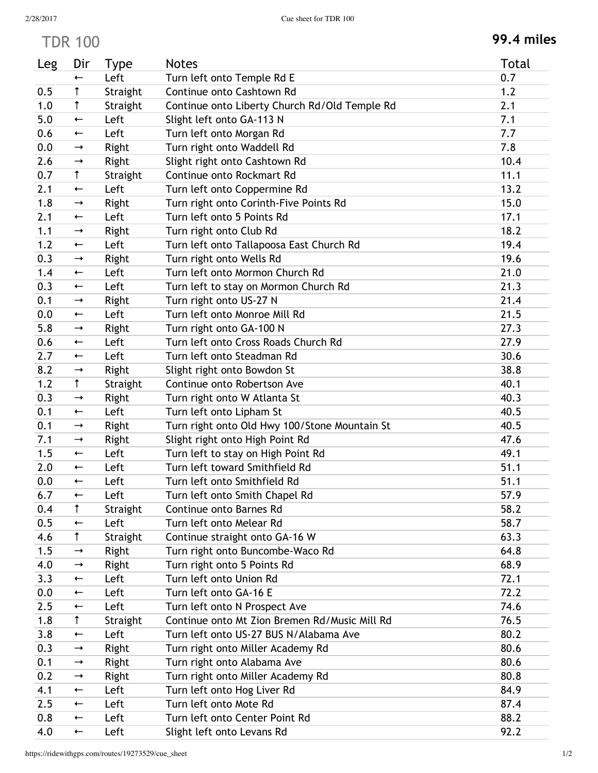## TDR 100 **99.4 miles**

| Leg | Dir                      | <b>Type</b> | <b>Notes</b>                                  | <b>Total</b> |
|-----|--------------------------|-------------|-----------------------------------------------|--------------|
|     | $\overline{\phantom{0}}$ | Left        | Turn left onto Temple Rd E                    | 0.7          |
| 0.5 | ↑                        | Straight    | Continue onto Cashtown Rd                     | 1.2          |
| 1.0 | $\uparrow$               | Straight    | Continue onto Liberty Church Rd/Old Temple Rd | 2.1          |
| 5.0 | $\overline{\phantom{0}}$ | Left        | Slight left onto GA-113 N                     | 7.1          |
| 0.6 | $\overline{\phantom{0}}$ | Left        | Turn left onto Morgan Rd                      | 7.7          |
| 0.0 | $\rightarrow$            | Right       | Turn right onto Waddell Rd                    | 7.8          |
| 2.6 | $\rightarrow$            | Right       | Slight right onto Cashtown Rd                 | 10.4         |
| 0.7 | $\uparrow$               | Straight    | Continue onto Rockmart Rd                     | 11.1         |
| 2.1 | $\leftarrow$             | Left        | Turn left onto Coppermine Rd                  | 13.2         |
| 1.8 | $\rightarrow$            | Right       | Turn right onto Corinth-Five Points Rd        | 15.0         |
| 2.1 | $\overline{\phantom{0}}$ | Left        | Turn left onto 5 Points Rd                    | 17.1         |
| 1.1 | $\rightarrow$            | Right       | Turn right onto Club Rd                       | 18.2         |
| 1.2 | $\overline{\phantom{0}}$ | Left        | Turn left onto Tallapoosa East Church Rd      | 19.4         |
| 0.3 | $\rightarrow$            | Right       | Turn right onto Wells Rd                      | 19.6         |
| 1.4 | $\overline{\phantom{0}}$ | Left        | Turn left onto Mormon Church Rd               | 21.0         |
| 0.3 | $\overline{\phantom{0}}$ | Left        | Turn left to stay on Mormon Church Rd         | 21.3         |
| 0.1 | $\rightarrow$            | Right       | Turn right onto US-27 N                       | 21.4         |
| 0.0 | $\overline{\phantom{0}}$ | Left        | Turn left onto Monroe Mill Rd                 | 21.5         |
| 5.8 | $\rightarrow$            | Right       | Turn right onto GA-100 N                      | 27.3         |
| 0.6 | $\overline{\phantom{0}}$ | Left        | Turn left onto Cross Roads Church Rd          | 27.9         |
| 2.7 | $\overline{\phantom{0}}$ | Left        | Turn left onto Steadman Rd                    | 30.6         |
| 8.2 | $\rightarrow$            | Right       | Slight right onto Bowdon St                   | 38.8         |
| 1.2 | $\uparrow$               | Straight    | Continue onto Robertson Ave                   | 40.1         |
| 0.3 | $\rightarrow$            | Right       | Turn right onto W Atlanta St                  | 40.3         |
| 0.1 | $\leftarrow$             | Left        | Turn left onto Lipham St                      | 40.5         |
| 0.1 | $\rightarrow$            | Right       | Turn right onto Old Hwy 100/Stone Mountain St | 40.5         |
| 7.1 | $\rightarrow$            | Right       | Slight right onto High Point Rd               | 47.6         |
| 1.5 | $\leftarrow$             | Left        | Turn left to stay on High Point Rd            | 49.1         |
| 2.0 | $\overline{\phantom{0}}$ | Left        | Turn left toward Smithfield Rd                | 51.1         |
| 0.0 | $\leftarrow$             | Left        | Turn left onto Smithfield Rd                  | 51.1         |
| 6.7 | $\leftarrow$             | Left        | Turn left onto Smith Chapel Rd                | 57.9         |
| 0.4 | $\uparrow$               | Straight    | Continue onto Barnes Rd                       | 58.2         |
| 0.5 | $\leftarrow$             | Left        | Turn left onto Melear Rd                      | 58.7         |
| 4.6 | $\uparrow$               | Straight    | Continue straight onto GA-16 W                | 63.3         |
| 1.5 | $\rightarrow$            | Right       | Turn right onto Buncombe-Waco Rd              | 64.8         |
| 4.0 | $\rightarrow$            | Right       | Turn right onto 5 Points Rd                   | 68.9         |
| 3.3 | $\overline{\phantom{0}}$ | Left        | Turn left onto Union Rd                       | 72.1         |
| 0.0 | $\overline{\phantom{0}}$ | Left        | Turn left onto GA-16 E                        | 72.2         |
| 2.5 | $\overline{\phantom{0}}$ | Left        | Turn left onto N Prospect Ave                 | 74.6         |
| 1.8 | $\uparrow$               | Straight    | Continue onto Mt Zion Bremen Rd/Music Mill Rd | 76.5         |
| 3.8 | $\overline{\phantom{0}}$ | Left        | Turn left onto US-27 BUS N/Alabama Ave        | 80.2         |
| 0.3 | $\rightarrow$            | Right       | Turn right onto Miller Academy Rd             | 80.6         |
| 0.1 | $\rightarrow$            | Right       | Turn right onto Alabama Ave                   | 80.6         |
| 0.2 | $\rightarrow$            | Right       | Turn right onto Miller Academy Rd             | 80.8         |
| 4.1 | $\overline{\phantom{0}}$ | Left        | Turn left onto Hog Liver Rd                   | 84.9         |
| 2.5 | $\overline{\phantom{0}}$ | Left        | Turn left onto Mote Rd                        | 87.4         |
| 0.8 | $\overline{\phantom{0}}$ | Left        | Turn left onto Center Point Rd                | 88.2         |
| 4.0 | $\leftarrow$             | Left        | Slight left onto Levans Rd                    | 92.2         |